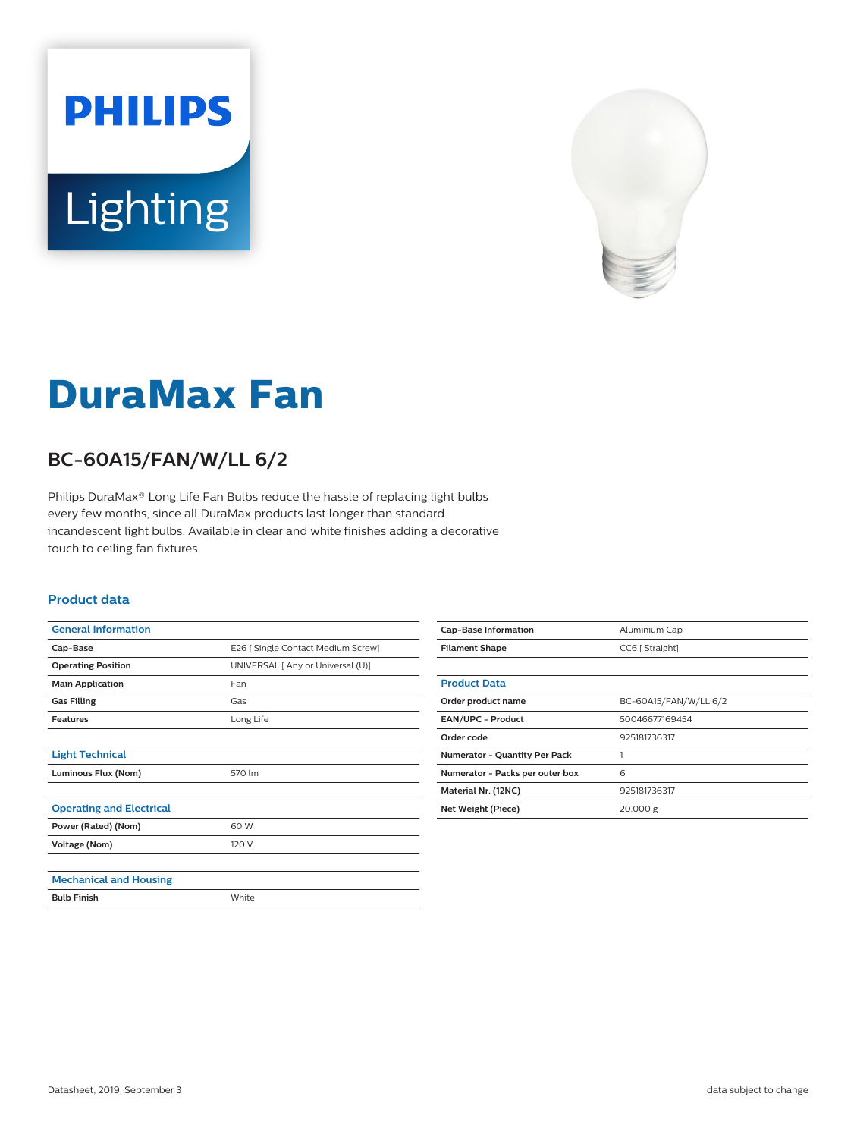



# **DuraMax Fan**

## **BC-60A15/FAN/W/LL 6/2**

Philips DuraMax® Long Life Fan Bulbs reduce the hassle of replacing light bulbs every few months, since all DuraMax products last longer than standard incandescent light bulbs. Available in clear and white finishes adding a decorative touch to ceiling fan fixtures.

#### **Product data**

| <b>General Information</b>      |                                    |
|---------------------------------|------------------------------------|
| Cap-Base                        | E26   Single Contact Medium Screw] |
| <b>Operating Position</b>       | UNIVERSAL [ Any or Universal (U)]  |
| <b>Main Application</b>         | Fan                                |
| <b>Gas Filling</b>              | Gas                                |
| <b>Features</b>                 | Long Life                          |
|                                 |                                    |
| <b>Light Technical</b>          |                                    |
| Luminous Flux (Nom)             | 570 lm                             |
|                                 |                                    |
| <b>Operating and Electrical</b> |                                    |
| Power (Rated) (Nom)             | 60 W                               |
| Voltage (Nom)                   | 120 V                              |
|                                 |                                    |
| <b>Mechanical and Housing</b>   |                                    |
| <b>Bulb Finish</b>              | White                              |

| <b>Cap-Base Information</b>          | Aluminium Cap         |
|--------------------------------------|-----------------------|
| <b>Filament Shape</b>                | CC6 [ Straight]       |
|                                      |                       |
| <b>Product Data</b>                  |                       |
| Order product name                   | BC-60A15/FAN/W/LL 6/2 |
| <b>EAN/UPC - Product</b>             | 50046677169454        |
| Order code                           | 925181736317          |
| <b>Numerator - Quantity Per Pack</b> |                       |
| Numerator - Packs per outer box      | 6                     |
| Material Nr. (12NC)                  | 925181736317          |
| Net Weight (Piece)                   | 20.000 g              |